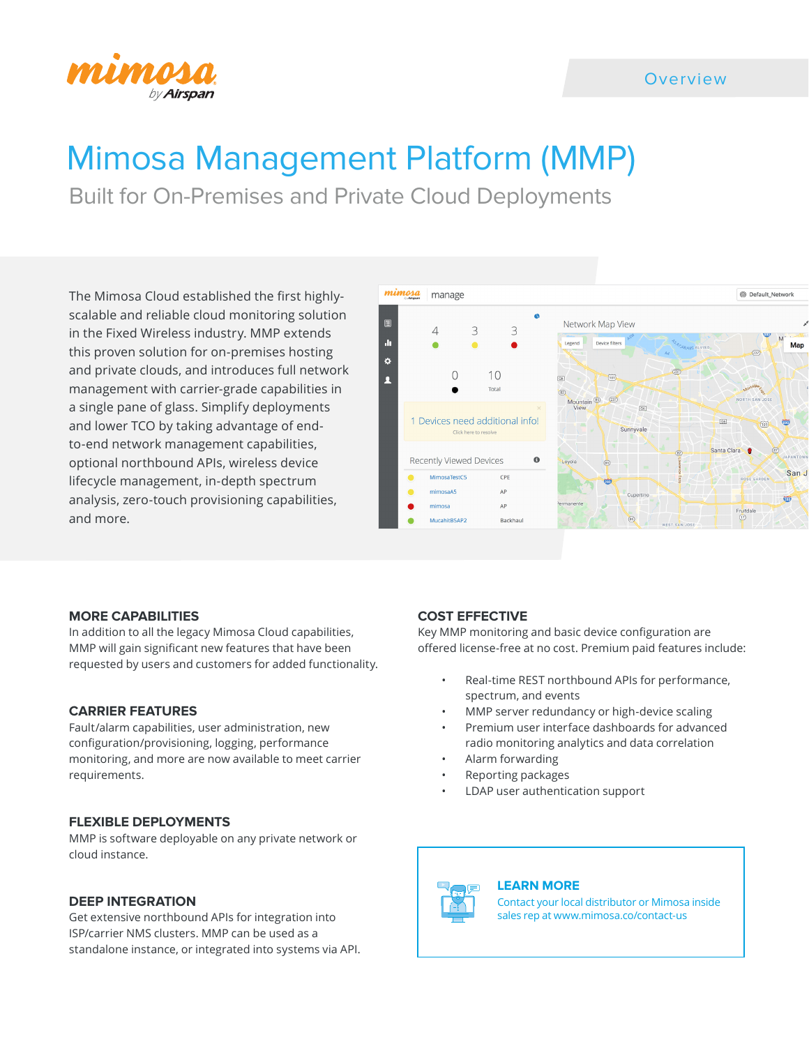

## **Overview**

# Mimosa Management Platform (MMP)

Built for On-Premises and Private Cloud Deployments

The Mimosa Cloud established the first highlyscalable and reliable cloud monitoring solution in the Fixed Wireless industry. MMP extends this proven solution for on-premises hosting and private clouds, and introduces full network management with carrier-grade capabilities in a single pane of glass. Simplify deployments and lower TCO by taking advantage of endto-end network management capabilities, optional northbound APIs, wireless device lifecycle management, in-depth spectrum analysis, zero-touch provisioning capabilities, and more.



#### **MORE CAPABILITIES**

In addition to all the legacy Mimosa Cloud capabilities, MMP will gain significant new features that have been requested by users and customers for added functionality.

#### **CARRIER FEATURES**

Fault/alarm capabilities, user administration, new configuration/provisioning, logging, performance monitoring, and more are now available to meet carrier requirements.

#### **FLEXIBLE DEPLOYMENTS**

MMP is software deployable on any private network or cloud instance.

### **DEEP INTEGRATION**

Get extensive northbound APIs for integration into ISP/carrier NMS clusters. MMP can be used as a standalone instance, or integrated into systems via API.

#### **COST EFFECTIVE**

Key MMP monitoring and basic device configuration are offered license-free at no cost. Premium paid features include:

- Real-time REST northbound APIs for performance, spectrum, and events
- MMP server redundancy or high-device scaling
- Premium user interface dashboards for advanced radio monitoring analytics and data correlation
- Alarm forwarding
- Reporting packages
- LDAP user authentication support

#### **LEARN MORE**

Contact your local distributor or Mimosa inside sales rep at www[.mimosa.co/contact-us](https://www.mimosa.co/contact-us)